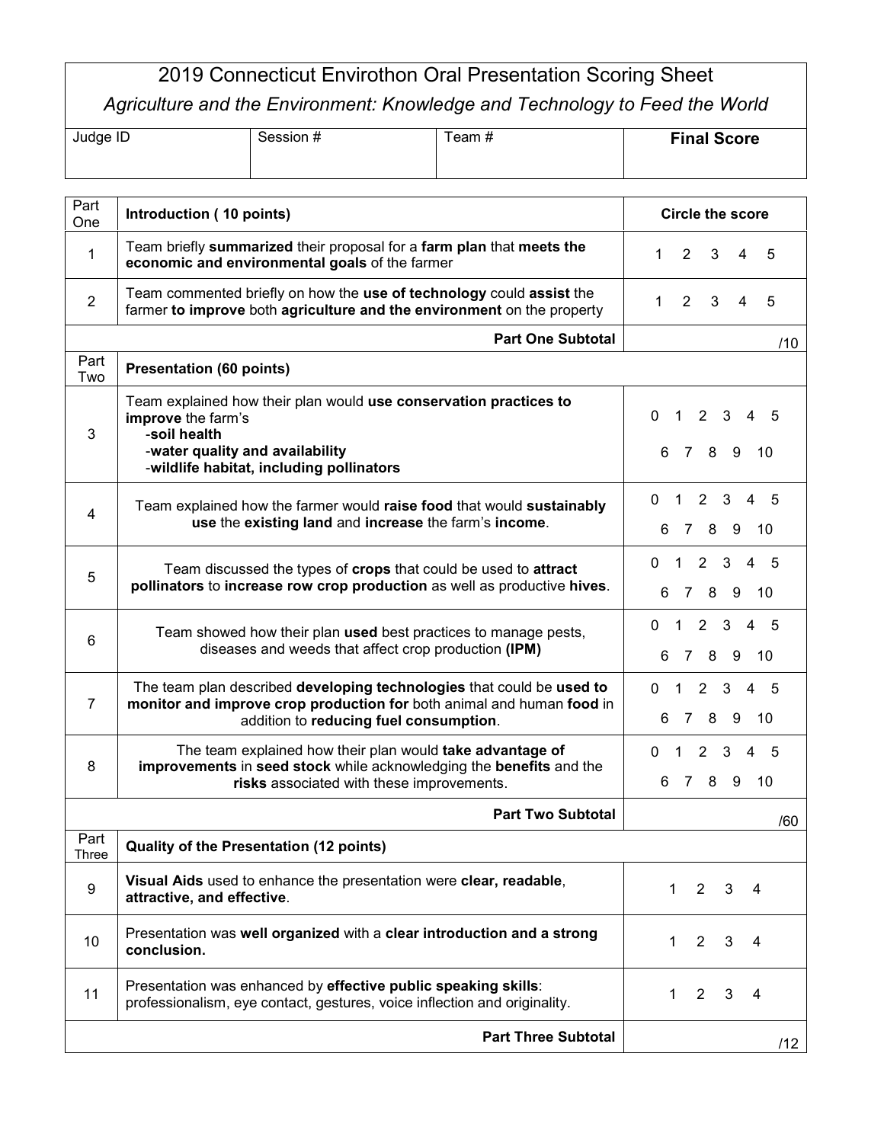## 2019 Connecticut Envirothon Oral Presentation Scoring Sheet *Agriculture and the Environment: Knowledge and Technology to Feed the World*

| Judge ID | Session # | ⊺eam # | <b>Final Score</b> |
|----------|-----------|--------|--------------------|
|          |           |        |                    |

| Part<br>One    | Introduction (10 points)                                                                                                                                                                 | <b>Circle the score</b>                                                      |  |  |  |
|----------------|------------------------------------------------------------------------------------------------------------------------------------------------------------------------------------------|------------------------------------------------------------------------------|--|--|--|
| 1              | Team briefly summarized their proposal for a farm plan that meets the<br>economic and environmental goals of the farmer                                                                  | $\overline{2}$<br>$\mathbf{1}$<br>3<br>4<br>5                                |  |  |  |
| $\overline{2}$ | Team commented briefly on how the use of technology could assist the<br>farmer to improve both agriculture and the environment on the property                                           | $\overline{2}$<br>$\mathbf{1}$<br>3<br>4<br>5                                |  |  |  |
|                | <b>Part One Subtotal</b><br>/10                                                                                                                                                          |                                                                              |  |  |  |
| Part<br>Two    | <b>Presentation (60 points)</b>                                                                                                                                                          |                                                                              |  |  |  |
| 3              | Team explained how their plan would use conservation practices to<br>improve the farm's<br>-soil health<br>-water quality and availability<br>-wildlife habitat, including pollinators   | 0<br>$2 \quad 3$<br>$\mathbf{1}$<br>$\overline{4}$<br>5<br>7 8 9<br>6.<br>10 |  |  |  |
| 4              | Team explained how the farmer would raise food that would sustainably<br>use the existing land and increase the farm's income.                                                           | $2^{\circ}$<br>3<br>$\mathbf 1$<br>4<br>0<br>5<br>7 8 9<br>6.<br>- 10        |  |  |  |
| 5              | Team discussed the types of crops that could be used to attract<br>pollinators to increase row crop production as well as productive hives.                                              | $1\quad2\quad3$<br>$\overline{4}$<br>.5<br>0<br>7 8<br>- 9<br>6<br>10        |  |  |  |
| 6              | Team showed how their plan used best practices to manage pests,<br>diseases and weeds that affect crop production (IPM)                                                                  | $\mathbf{1}$<br>2 3<br>$\overline{4}$<br>0<br>.5<br>7 8 9<br>6.<br>10        |  |  |  |
| $\overline{7}$ | The team plan described developing technologies that could be used to<br>monitor and improve crop production for both animal and human food in<br>addition to reducing fuel consumption. | $\mathbf{1}$<br>$\mathbf{3}$<br>4<br>0<br>2<br>.5<br>7 8 9<br>10<br>6.       |  |  |  |
| 8              | The team explained how their plan would take advantage of<br>improvements in seed stock while acknowledging the benefits and the<br>risks associated with these improvements.            | $1\quad2\quad3$<br>$\overline{4}$<br>.5<br>0<br>789<br>6.<br>- 10            |  |  |  |
|                | <b>Part Two Subtotal</b><br>/60                                                                                                                                                          |                                                                              |  |  |  |
| Part<br>Three  | Quality of the Presentation (12 points)                                                                                                                                                  |                                                                              |  |  |  |
| 9              | Visual Aids used to enhance the presentation were clear, readable,<br>attractive, and effective.                                                                                         | $\overline{2}$<br>$\mathbf 1$<br>3<br>4                                      |  |  |  |
| 10             | Presentation was well organized with a clear introduction and a strong<br>conclusion.                                                                                                    | 1<br>$\overline{2}$<br>3<br>4                                                |  |  |  |
| 11             | Presentation was enhanced by effective public speaking skills:<br>professionalism, eye contact, gestures, voice inflection and originality.                                              | $\overline{2}$<br>3<br>1<br>4                                                |  |  |  |
|                | <b>Part Three Subtotal</b>                                                                                                                                                               | /12                                                                          |  |  |  |